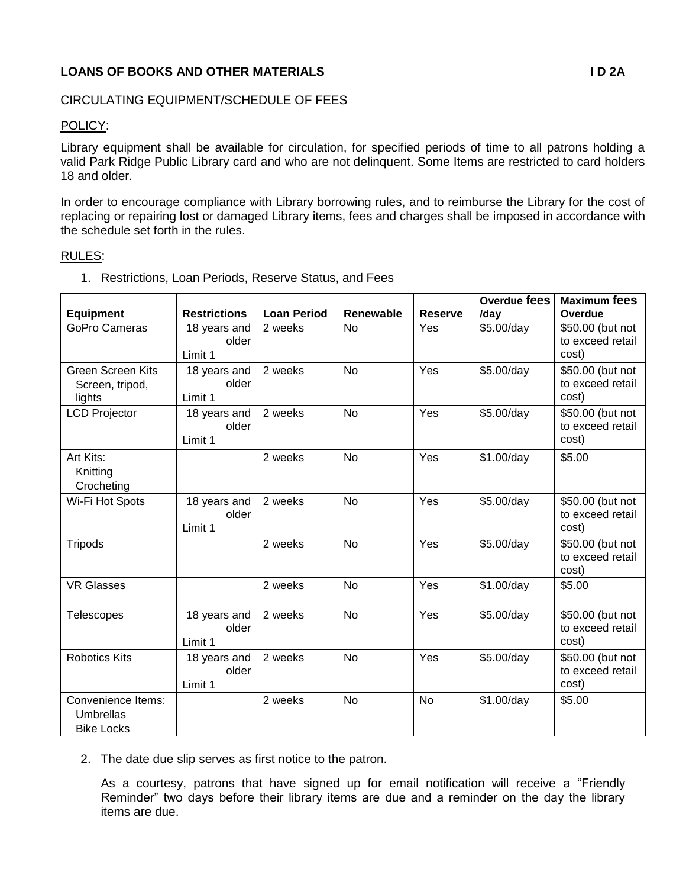## **LOANS OF BOOKS AND OTHER MATERIALS I D 2A**

## CIRCULATING EQUIPMENT/SCHEDULE OF FEES

## POLICY:

Library equipment shall be available for circulation, for specified periods of time to all patrons holding a valid Park Ridge Public Library card and who are not delinquent. Some Items are restricted to card holders 18 and older.

In order to encourage compliance with Library borrowing rules, and to reimburse the Library for the cost of replacing or repairing lost or damaged Library items, fees and charges shall be imposed in accordance with the schedule set forth in the rules.

## RULES:

|                          |                     |                    |           |                | Overdue fees | <b>Maximum fees</b> |
|--------------------------|---------------------|--------------------|-----------|----------------|--------------|---------------------|
| <b>Equipment</b>         | <b>Restrictions</b> | <b>Loan Period</b> | Renewable | <b>Reserve</b> | /day         | Overdue             |
| <b>GoPro Cameras</b>     | 18 years and        | 2 weeks            | <b>No</b> | Yes            | \$5.00/day   | \$50.00 (but not    |
|                          | older               |                    |           |                |              | to exceed retail    |
|                          | Limit 1             |                    |           |                |              | cost)               |
| <b>Green Screen Kits</b> | 18 years and        | 2 weeks            | <b>No</b> | Yes            | \$5.00/day   | \$50.00 (but not    |
| Screen, tripod,          | older               |                    |           |                |              | to exceed retail    |
| lights                   | Limit 1             |                    |           |                |              | cost)               |
| <b>LCD Projector</b>     | 18 years and        | 2 weeks            | <b>No</b> | Yes            | \$5.00/day   | \$50.00 (but not    |
|                          | older               |                    |           |                |              | to exceed retail    |
|                          | Limit 1             |                    |           |                |              | cost)               |
| Art Kits:                |                     | 2 weeks            | <b>No</b> | Yes            | \$1.00/day   | \$5.00              |
| Knitting                 |                     |                    |           |                |              |                     |
| Crocheting               |                     |                    |           |                |              |                     |
| Wi-Fi Hot Spots          | 18 years and        | 2 weeks            | <b>No</b> | Yes            | \$5.00/day   | \$50.00 (but not    |
|                          | older               |                    |           |                |              | to exceed retail    |
|                          | Limit 1             |                    |           |                |              | cost)               |
| <b>Tripods</b>           |                     | 2 weeks            | <b>No</b> | Yes            | \$5.00/day   | \$50.00 (but not    |
|                          |                     |                    |           |                |              | to exceed retail    |
|                          |                     |                    |           |                |              | cost)               |
| <b>VR Glasses</b>        |                     | 2 weeks            | <b>No</b> | Yes            | \$1.00/day   | \$5.00              |
|                          |                     |                    |           |                |              |                     |
| <b>Telescopes</b>        | 18 years and        | 2 weeks            | <b>No</b> | Yes            | \$5.00/day   | \$50.00 (but not    |
|                          | older               |                    |           |                |              | to exceed retail    |
|                          | Limit 1             |                    |           |                |              | cost)               |
| <b>Robotics Kits</b>     | 18 years and        | 2 weeks            | <b>No</b> | Yes            | \$5.00/day   | \$50.00 (but not    |
|                          | older               |                    |           |                |              | to exceed retail    |
|                          | Limit 1             |                    |           |                |              | cost)               |
| Convenience Items:       |                     | 2 weeks            | <b>No</b> | <b>No</b>      | \$1.00/day   | \$5.00              |
| <b>Umbrellas</b>         |                     |                    |           |                |              |                     |
| <b>Bike Locks</b>        |                     |                    |           |                |              |                     |

1. Restrictions, Loan Periods, Reserve Status, and Fees

2. The date due slip serves as first notice to the patron.

As a courtesy, patrons that have signed up for email notification will receive a "Friendly Reminder" two days before their library items are due and a reminder on the day the library items are due.